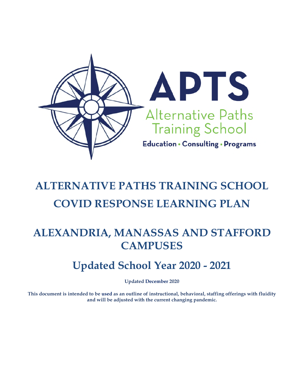

# **ALTERNATIVE PATHS TRAINING SCHOOL COVID RESPONSE LEARNING PLAN**

# **ALEXANDRIA, MANASSAS AND STAFFORD CAMPUSES**

# **Updated School Year 2020 - 2021**

**Updated December 2020**

**This document is intended to be used as an outline of instructional, behavioral, staffing offerings with fluidity and will be adjusted with the current changing pandemic.**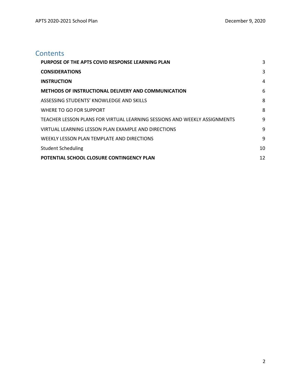# **Contents**

| PURPOSE OF THE APTS COVID RESPONSE LEARNING PLAN                          | 3  |
|---------------------------------------------------------------------------|----|
| <b>CONSIDERATIONS</b>                                                     | 3  |
| <b>INSTRUCTION</b>                                                        | 4  |
| <b>METHODS OF INSTRUCTIONAL DELIVERY AND COMMUNICATION</b>                | 6  |
| ASSESSING STUDENTS' KNOWLEDGE AND SKILLS                                  | 8  |
| WHERE TO GO FOR SUPPORT                                                   | 8  |
| TEACHER LESSON PLANS FOR VIRTUAL LEARNING SESSIONS AND WEEKLY ASSIGNMENTS | 9  |
| VIRTUAL LEARNING LESSON PLAN EXAMPLE AND DIRECTIONS                       | 9  |
| WEEKLY LESSON PLAN TEMPLATE AND DIRECTIONS                                | 9  |
| <b>Student Scheduling</b>                                                 | 10 |
| POTENTIAL SCHOOL CLOSURE CONTINGENCY PLAN                                 | 12 |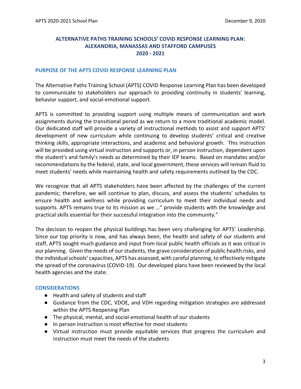#### **ALTERNATIVE PATHS TRAINING SCHOOLS' COVID RESPONSE LEARNING PLAN: ALEXANDRIA, MANASSAS AND STAFFORD CAMPUSES 2020 - 2021**

#### <span id="page-2-0"></span>**PURPOSE OF THE APTS COVID RESPONSE LEARNING PLAN**

The Alternative Paths Training School (APTS) COVID Response Learning Plan has been developed to communicate to stakeholders our approach to providing continuity in students' learning, behavior support, and social-emotional support.

APTS is committed to providing support using multiple means of communication and work assignments during the transitional period as we return to a more traditional academic model. Our dedicated staff will provide a variety of instructional methods to assist and support APTS' development of new curriculum while continuing to develop students' critical and creative thinking skills, appropriate interactions, and academic and behavioral growth. This instruction will be provided using virtual instruction and supports or, in person instruction, dependent upon the student's and family's needs as determined by their IEP teams. Based on mandates and/or recommendations by the federal, state, and local government, these services will remain fluid to meet students' needs while maintaining health and safety requirements outlined by the CDC.

We recognize that all APTS stakeholders have been affected by the challenges of the current pandemic; therefore, we will continue to plan, discuss, and assess the students' schedules to ensure health and wellness while providing curriculum to meet their individual needs and supports. APTS remains true to its mission as we …" provide students with the knowledge and practical skills essential for their successful integration into the community."

The decision to reopen the physical buildings has been very challenging for APTS' Leadership. Since our top priority is now, and has always been, the health and safety of our students and staff, APTS sought much guidance and input from local public health officials as it was critical in our planning. Given the needs of our students, the grave consideration of public health risks, and the individual schools' capacities, APTS has assessed, with careful planning, to effectively mitigate the spread of the coronavirus (COVID-19). Our developed plans have been reviewed by the local health agencies and the state.

#### <span id="page-2-1"></span>**CONSIDERATIONS**

- Health and safety of students and staff
- Guidance from the CDC, VDOE, and VDH regarding mitigation strategies are addressed within the APTS Reopening Plan
- The physical, mental, and social-emotional health of our students
- In person instruction is most effective for most students
- Virtual instruction must provide equitable services that progress the curriculum and instruction must meet the needs of the students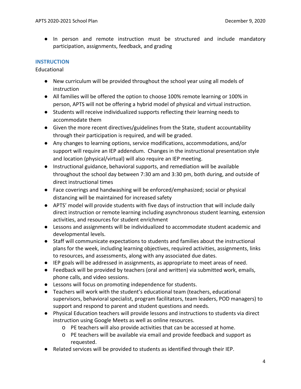● In person and remote instruction must be structured and include mandatory participation, assignments, feedback, and grading

#### <span id="page-3-0"></span>**INSTRUCTION**

Educational

- New curriculum will be provided throughout the school year using all models of instruction
- All families will be offered the option to choose 100% remote learning or 100% in person, APTS will not be offering a hybrid model of physical and virtual instruction.
- Students will receive individualized supports reflecting their learning needs to accommodate them
- Given the more recent directives/guidelines from the State, student accountability through their participation is required, and will be graded.
- Any changes to learning options, service modifications, accommodations, and/or support will require an IEP addendum. Changes in the instructional presentation style and location (physical/virtual) will also require an IEP meeting.
- Instructional guidance, behavioral supports, and remediation will be available throughout the school day between 7:30 am and 3:30 pm, both during, and outside of direct instructional times
- Face coverings and handwashing will be enforced/emphasized; social or physical distancing will be maintained for increased safety
- APTS' model will provide students with five days of instruction that will include daily direct instruction or remote learning including asynchronous student learning, extension activities, and resources for student enrichment
- Lessons and assignments will be individualized to accommodate student academic and developmental levels.
- Staff will communicate expectations to students and families about the instructional plans for the week, including learning objectives, required activities, assignments, links to resources, and assessments, along with any associated due dates.
- IEP goals will be addressed in assignments, as appropriate to meet areas of need.
- Feedback will be provided by teachers (oral and written) via submitted work, emails, phone calls, and video sessions.
- Lessons will focus on promoting independence for students.
- Teachers will work with the student's educational team (teachers, educational supervisors, behavioral specialist, program facilitators, team leaders, POD managers) to support and respond to parent and student questions and needs.
- Physical Education teachers will provide lessons and instructions to students via direct instruction using Google Meets as well as online resources.
	- o PE teachers will also provide activities that can be accessed at home.
	- o PE teachers will be available via email and provide feedback and support as requested.
- Related services will be provided to students as identified through their IEP.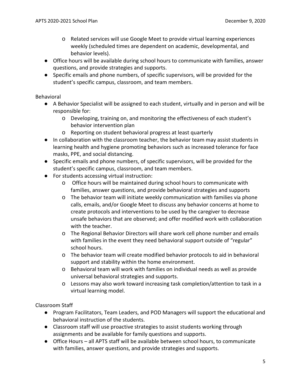- o Related services will use Google Meet to provide virtual learning experiences weekly (scheduled times are dependent on academic, developmental, and behavior levels).
- Office hours will be available during school hours to communicate with families, answer questions, and provide strategies and supports.
- Specific emails and phone numbers, of specific supervisors, will be provided for the student's specific campus, classroom, and team members.

Behavioral

- A Behavior Specialist will be assigned to each student, virtually and in person and will be responsible for:
	- o Developing, training on, and monitoring the effectiveness of each student's behavior intervention plan
	- o Reporting on student behavioral progress at least quarterly
- In collaboration with the classroom teacher, the behavior team may assist students in learning health and hygiene promoting behaviors such as increased tolerance for face masks, PPE, and social distancing.
- Specific emails and phone numbers, of specific supervisors, will be provided for the student's specific campus, classroom, and team members.
- For students accessing virtual instruction:
	- o Office hours will be maintained during school hours to communicate with families, answer questions, and provide behavioral strategies and supports
	- o The behavior team will initiate weekly communication with families via phone calls, emails, and/or Google Meet to discuss any behavior concerns at home to create protocols and interventions to be used by the caregiver to decrease unsafe behaviors that are observed; and offer modified work with collaboration with the teacher.
	- o The Regional Behavior Directors will share work cell phone number and emails with families in the event they need behavioral support outside of "regular" school hours.
	- o The behavior team will create modified behavior protocols to aid in behavioral support and stability within the home environment.
	- o Behavioral team will work with families on individual needs as well as provide universal behavioral strategies and supports.
	- o Lessons may also work toward increasing task completion/attention to task in a virtual learning model.

Classroom Staff

- Program Facilitators, Team Leaders, and POD Managers will support the educational and behavioral instruction of the students.
- Classroom staff will use proactive strategies to assist students working through assignments and be available for family questions and supports.
- Office Hours all APTS staff will be available between school hours, to communicate with families, answer questions, and provide strategies and supports.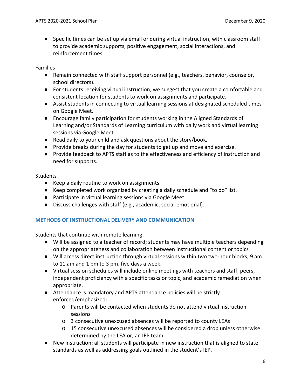● Specific times can be set up via email or during virtual instruction, with classroom staff to provide academic supports, positive engagement, social interactions, and reinforcement times.

Families

- Remain connected with staff support personnel (e.g., teachers, behavior, counselor, school directors).
- For students receiving virtual instruction, we suggest that you create a comfortable and consistent location for students to work on assignments and participate.
- Assist students in connecting to virtual learning sessions at designated scheduled times on Google Meet.
- Encourage family participation for students working in the Aligned Standards of Learning and/or Standards of Learning curriculum with daily work and virtual learning sessions via Google Meet.
- Read daily to your child and ask questions about the story/book.
- Provide breaks during the day for students to get up and move and exercise.
- Provide feedback to APTS staff as to the effectiveness and efficiency of instruction and need for supports.

# **Students**

- Keep a daily routine to work on assignments.
- Keep completed work organized by creating a daily schedule and "to do" list.
- Participate in virtual learning sessions via Google Meet.
- Discuss challenges with staff (e.g., academic, social-emotional).

# <span id="page-5-0"></span>**METHODS OF INSTRUCTIONAL DELIVERY AND COMMUNICATION**

Students that continue with remote learning:

- Will be assigned to a teacher of record; students may have multiple teachers depending on the appropriateness and collaboration between instructional content or topics
- Will access direct instruction through virtual sessions within two two-hour blocks; 9 am to 11 am and 1 pm to 3 pm, five days a week.
- Virtual session schedules will include online meetings with teachers and staff, peers, independent proficiency with a specific tasks or topic, and academic remediation when appropriate.
- Attendance is mandatory and APTS attendance policies will be strictly enforced/emphasized:
	- o Parents will be contacted when students do not attend virtual instruction sessions
	- o 3 consecutive unexcused absences will be reported to county LEAs
	- o 15 consecutive unexcused absences will be considered a drop unless otherwise determined by the LEA or, an IEP team
- New instruction: all students will participate in new instruction that is aligned to state standards as well as addressing goals outlined in the student's IEP.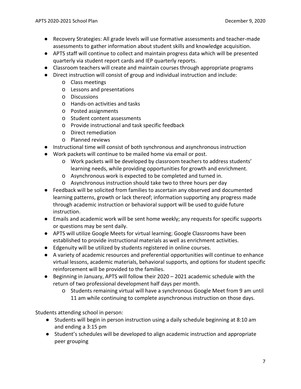- Recovery Strategies: All grade levels will use formative assessments and teacher-made assessments to gather information about student skills and knowledge acquisition.
- APTS staff will continue to collect and maintain progress data which will be presented quarterly via student report cards and IEP quarterly reports.
- Classroom teachers will create and maintain courses through appropriate programs
- Direct instruction will consist of group and individual instruction and include:
	- o Class meetings
	- o Lessons and presentations
	- o Discussions
	- o Hands-on activities and tasks
	- o Posted assignments
	- o Student content assessments
	- o Provide instructional and task specific feedback
	- o Direct remediation
	- o Planned reviews
- Instructional time will consist of both synchronous and asynchronous instruction
- Work packets will continue to be mailed home via email or post.
	- o Work packets will be developed by classroom teachers to address students' learning needs, while providing opportunities for growth and enrichment.
	- o Asynchronous work is expected to be completed and turned in.
	- o Asynchronous instruction should take two to three hours per day
- Feedback will be solicited from families to ascertain any observed and documented learning patterns, growth or lack thereof; information supporting any progress made through academic instruction or behavioral support will be used to guide future instruction.
- Emails and academic work will be sent home weekly; any requests for specific supports or questions may be sent daily.
- APTS will utilize Google Meets for virtual learning; Google Classrooms have been established to provide instructional materials as well as enrichment activities.
- Edgenuity will be utilized by students registered in online courses.
- A variety of academic resources and preferential opportunities will continue to enhance virtual lessons, academic materials, behavioral supports, and options for student specific reinforcement will be provided to the families.
- Beginning in January, APTS will follow their 2020 2021 academic schedule with the return of two professional development half days per month.
	- o Students remaining virtual will have a synchronous Google Meet from 9 am until 11 am while continuing to complete asynchronous instruction on those days.

Students attending school in person:

- Students will begin in person instruction using a daily schedule beginning at 8:10 am and ending a 3:15 pm
- Student's schedules will be developed to align academic instruction and appropriate peer grouping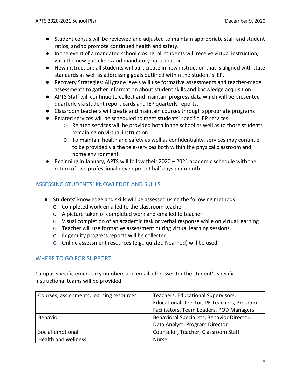- Student census will be reviewed and adjusted to maintain appropriate staff and student ratios, and to promote continued health and safety.
- In the event of a mandated school closing, all students will receive virtual instruction, with the new guidelines and mandatory participation
- New instruction: all students will participate in new instruction that is aligned with state standards as well as addressing goals outlined within the student's IEP.
- Recovery Strategies: All grade levels will use formative assessments and teacher-made assessments to gather information about student skills and knowledge acquisition.
- APTS Staff will continue to collect and maintain progress data which will be presented quarterly via student report cards and IEP quarterly reports.
- Classroom teachers will create and maintain courses through appropriate programs
- Related services will be scheduled to meet students' specific IEP services.
	- o Related services will be provided both in the school as well as to those students remaining on virtual instruction
	- o To maintain health and safety as well as confidentiality, services may continue to be provided via the tele-services both within the physical classroom and home environment
- Beginning in January, APTS will follow their 2020 2021 academic schedule with the return of two professional development half days per month.

# <span id="page-7-0"></span>ASSESSING STUDENTS' KNOWLEDGE AND SKILLS

- Students' knowledge and skills will be assessed using the following methods:
	- o Completed work emailed to the classroom teacher.
	- o A picture taken of completed work and emailed to teacher.
	- o Visual completion of an academic task or verbal response while on virtual learning
	- o Teacher will use formative assessment during virtual learning sessions.
	- o Edgenuity progress reports will be collected.
	- o Online assessment resources (e.g., quizlet, NearPod) will be used.

# <span id="page-7-1"></span>WHERE TO GO FOR SUPPORT

Campus specific emergency numbers and email addresses for the student's specific instructional teams will be provided.

| Courses, assignments, learning resources | Teachers, Educational Supervisors,         |  |
|------------------------------------------|--------------------------------------------|--|
|                                          | Educational Director, PE Teachers, Program |  |
|                                          | Facilitators, Team Leaders, POD Managers   |  |
| <b>Behavior</b>                          | Behavioral Specialists, Behavior Director, |  |
|                                          | Data Analyst, Program Director             |  |
| Social-emotional                         | Counselor, Teacher, Classroom Staff        |  |
| Health and wellness                      | <b>Nurse</b>                               |  |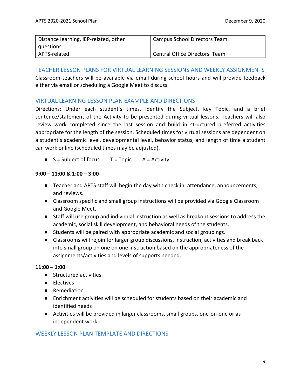| Distance learning, IEP-related, other | Campus School Directors Team   |
|---------------------------------------|--------------------------------|
| I questions                           |                                |
| APTS-related                          | Central Office Directors' Team |

#### <span id="page-8-0"></span>TEACHER LESSON PLANS FOR VIRTUAL LEARNING SESSIONS AND WEEKLY ASSIGNMENTS

Classroom teachers will be available via email during school hours and will provide feedback either via email or scheduling a Google Meet to discuss.

# <span id="page-8-1"></span>VIRTUAL LEARNING LESSON PLAN EXAMPLE AND DIRECTIONS

Directions: Under each student's times, identify the Subject, key Topic, and a brief sentence/statement of the Activity to be presented during virtual lessons. Teachers will also review work completed since the last session and build in structured preferred activities appropriate for the length of the session. Scheduled times for virtual sessions are dependent on a student's academic level, developmental level, behavior status, and length of time a student can work online (scheduled times may be adjusted).

 $\bullet$  S = Subject of focus T = Topic A = Activity

# **9:00 – 11:00 & 1:00 – 3:00**

- Teacher and APTS staff will begin the day with check in, attendance, announcements, and reviews.
- Classroom specific and small group instructions will be provided via Google Classroom and Google Meet.
- Staff will use group and individual instruction as well as breakout sessions to address the academic, social skill development, and behavioral needs of the students.
- Students will be paired with appropriate academic and social groupings.
- Classrooms will rejoin for larger group discussions, instruction, activities and break back into small group on one on one instruction based on the appropriateness of the assignments/activities and levels of supports needed.

# **11:00 – 1:00**

- Structured activities
- Electives
- Remediation
- Enrichment activities will be scheduled for students based on their academic and identified needs
- Activities will be provided in larger classrooms, small groups, one-on-one or as independent work.

# <span id="page-8-2"></span>WEEKLY LESSON PLAN TEMPLATE AND DIRECTIONS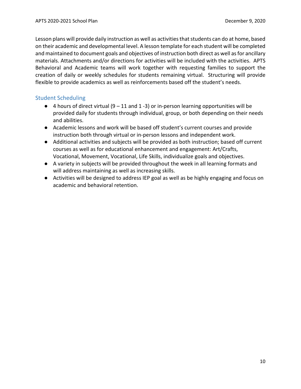Lesson plans will provide daily instruction as well as activities that students can do at home, based on their academic and developmental level. A lesson template for each student will be completed and maintained to document goals and objectives of instruction both direct as well as for ancillary materials. Attachments and/or directions for activities will be included with the activities. APTS Behavioral and Academic teams will work together with requesting families to support the creation of daily or weekly schedules for students remaining virtual. Structuring will provide flexible to provide academics as well as reinforcements based off the student's needs.

# <span id="page-9-0"></span>Student Scheduling

- $\bullet$  4 hours of direct virtual (9 11 and 1 -3) or in-person learning opportunities will be provided daily for students through individual, group, or both depending on their needs and abilities.
- Academic lessons and work will be based off student's current courses and provide instruction both through virtual or in-person lessons and independent work.
- Additional activities and subjects will be provided as both instruction; based off current courses as well as for educational enhancement and engagement: Art/Crafts, Vocational, Movement, Vocational, Life Skills, individualize goals and objectives.
- A variety in subjects will be provided throughout the week in all learning formats and will address maintaining as well as increasing skills.
- Activities will be designed to address IEP goal as well as be highly engaging and focus on academic and behavioral retention.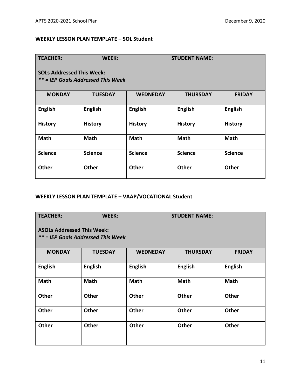# **WEEKLY LESSON PLAN TEMPLATE – SOL Student**

| <b>TEACHER:</b>                                                        | WEEK:          |                 | <b>STUDENT NAME:</b> |                |  |  |  |
|------------------------------------------------------------------------|----------------|-----------------|----------------------|----------------|--|--|--|
| <b>SOLs Addressed This Week:</b><br>** = IEP Goals Addressed This Week |                |                 |                      |                |  |  |  |
| <b>MONDAY</b>                                                          | <b>TUESDAY</b> | <b>WEDNEDAY</b> | <b>THURSDAY</b>      | <b>FRIDAY</b>  |  |  |  |
| <b>English</b>                                                         | <b>English</b> | <b>English</b>  | <b>English</b>       | <b>English</b> |  |  |  |
| <b>History</b>                                                         | <b>History</b> | <b>History</b>  | <b>History</b>       | <b>History</b> |  |  |  |
| <b>Math</b>                                                            | <b>Math</b>    | <b>Math</b>     | <b>Math</b>          | <b>Math</b>    |  |  |  |
| <b>Science</b>                                                         | <b>Science</b> | <b>Science</b>  | <b>Science</b>       | <b>Science</b> |  |  |  |
| Other                                                                  | <b>Other</b>   | <b>Other</b>    | <b>Other</b>         | <b>Other</b>   |  |  |  |

# **WEEKLY LESSON PLAN TEMPLATE – VAAP/VOCATIONAL Student**

| <b>TEACHER:</b>                                                         | WEEK:          | <b>STUDENT NAME:</b> |                 |                |  |  |  |
|-------------------------------------------------------------------------|----------------|----------------------|-----------------|----------------|--|--|--|
| <b>ASOLs Addressed This Week:</b><br>** = IEP Goals Addressed This Week |                |                      |                 |                |  |  |  |
| <b>MONDAY</b>                                                           | <b>TUESDAY</b> | <b>WEDNEDAY</b>      | <b>THURSDAY</b> | <b>FRIDAY</b>  |  |  |  |
| <b>English</b>                                                          | <b>English</b> | <b>English</b>       | <b>English</b>  | <b>English</b> |  |  |  |
| <b>Math</b>                                                             | <b>Math</b>    | <b>Math</b>          | <b>Math</b>     | <b>Math</b>    |  |  |  |
| <b>Other</b>                                                            | <b>Other</b>   | <b>Other</b>         | <b>Other</b>    | <b>Other</b>   |  |  |  |
| <b>Other</b>                                                            | <b>Other</b>   | <b>Other</b>         | <b>Other</b>    | <b>Other</b>   |  |  |  |
| <b>Other</b>                                                            | Other          | <b>Other</b>         | <b>Other</b>    | <b>Other</b>   |  |  |  |